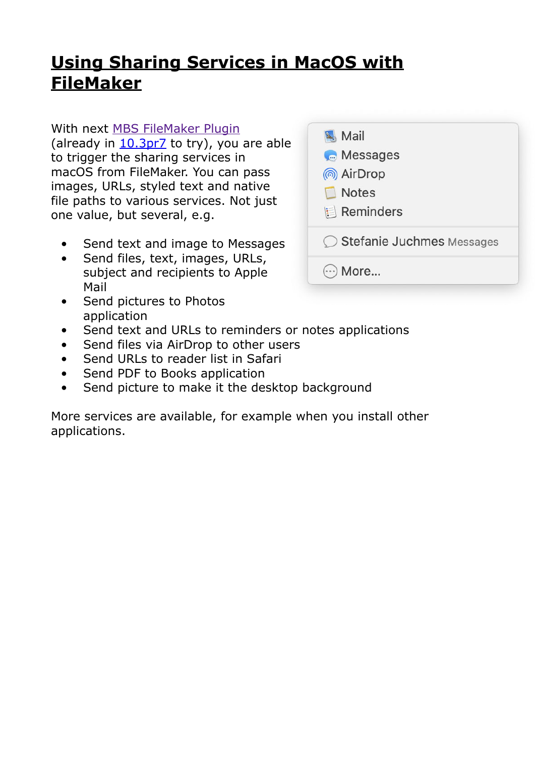## **[Using Sharing Services in MacOS with](https://www.mbs-plugins.com/archive/2020-06-29/Using_Sharing_Services_in_MacO/monkeybreadsoftware_blog_filemaker)  [FileMaker](https://www.mbs-plugins.com/archive/2020-06-29/Using_Sharing_Services_in_MacO/monkeybreadsoftware_blog_filemaker)**

## With next [MBS FileMaker Plugin](https://www.monkeybreadsoftware.com/filemaker/)

(already in  $10.3pr<sub>Z</sub>$  to try), you are able to trigger the sharing services in macOS from FileMaker. You can pass images, URLs, styled text and native file paths to various services. Not just one value, but several, e.g.

- Send text and image to Messages
- Send files, text, images, URLs, subject and recipients to Apple Mail
- Send pictures to Photos application
- Send text and URLs to reminders or notes applications
- Send files via AirDrop to other users
- Send URLs to reader list in Safari
- Send PDF to Books application
- Send picture to make it the desktop background

More services are available, for example when you install other applications.

| Mail                        |
|-----------------------------|
| Messages                    |
| ® AirDrop                   |
| <b>Notes</b>                |
| <b>E</b> Reminders          |
| ◯ Stefanie Juchmes Messages |
| More                        |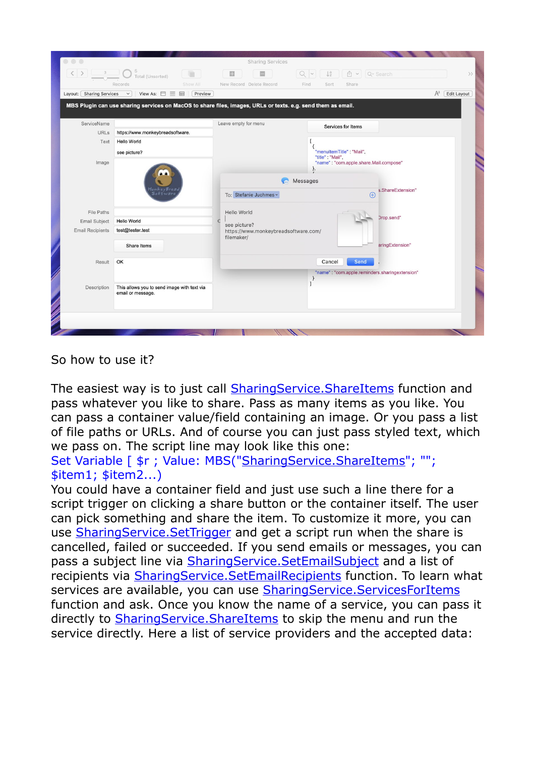|                          | $\left\langle \left  \right. \right\rangle$ 3 $\left  \right\rangle$ Total (Unsorted)<br>Show All<br><b>Records</b> | $\Box$<br>New Record Delete Record   | $\downarrow^a_z$<br>$Q - 1$<br>山 ▼ Q Search<br>Find<br>Sort<br>Share |  |  |  |  |
|--------------------------|---------------------------------------------------------------------------------------------------------------------|--------------------------------------|----------------------------------------------------------------------|--|--|--|--|
| Layout: Sharing Services | View As: $\Box \equiv \boxplus$ Preview<br>$\vee$                                                                   |                                      | $A^a$ <b>Edit Layout</b>                                             |  |  |  |  |
|                          | MBS Plugin can use sharing services on MacOS to share files, images, URLs or texts. e.g. send them as email.        |                                      |                                                                      |  |  |  |  |
|                          |                                                                                                                     |                                      |                                                                      |  |  |  |  |
| ServiceName              |                                                                                                                     | Leave empty for menu                 | Services for Items                                                   |  |  |  |  |
| <b>URLs</b>              | https://www.monkeybreadsoftware.                                                                                    |                                      |                                                                      |  |  |  |  |
| Text                     | <b>Hello World</b>                                                                                                  |                                      |                                                                      |  |  |  |  |
|                          | see picture?                                                                                                        |                                      | "menuItemTitle": "Mail",<br>"title" : "Mail",                        |  |  |  |  |
| Image                    |                                                                                                                     |                                      | "name": "com.apple.share.Mail.compose"                               |  |  |  |  |
|                          |                                                                                                                     |                                      |                                                                      |  |  |  |  |
|                          |                                                                                                                     |                                      | Messages                                                             |  |  |  |  |
|                          |                                                                                                                     | To: Stefanie Juchmes ~               | s.ShareExtension"<br>$\bigoplus$                                     |  |  |  |  |
|                          |                                                                                                                     |                                      |                                                                      |  |  |  |  |
| <b>File Paths</b>        |                                                                                                                     | Hello World                          |                                                                      |  |  |  |  |
| Email Subject            | <b>Hello World</b>                                                                                                  | see picture?                         | Drop.send"                                                           |  |  |  |  |
| <b>Email Recipients</b>  | test@tester.test                                                                                                    | https://www.monkeybreadsoftware.com/ |                                                                      |  |  |  |  |
|                          |                                                                                                                     | filemaker/                           |                                                                      |  |  |  |  |
|                          | Share Items                                                                                                         |                                      | aringExtension"                                                      |  |  |  |  |
| Result                   | OK                                                                                                                  |                                      | Send<br>Cancel                                                       |  |  |  |  |
|                          |                                                                                                                     |                                      |                                                                      |  |  |  |  |
|                          |                                                                                                                     |                                      | "name": "com.apple.reminders.sharingextension"                       |  |  |  |  |
| Description              | This allows you to send image with text via                                                                         |                                      |                                                                      |  |  |  |  |
|                          | email or message.                                                                                                   |                                      |                                                                      |  |  |  |  |
|                          |                                                                                                                     |                                      |                                                                      |  |  |  |  |

So how to use it?

The easiest way is to just call [SharingService.ShareItems](https://www.mbsplugins.eu/SharingServiceShareItems.shtml) function and pass whatever you like to share. Pass as many items as you like. You can pass a container value/field containing an image. Or you pass a list of file paths or URLs. And of course you can just pass styled text, which we pass on. The script line may look like this one:

Set Variable [  $\frac{1}{2}r$  ; Value: MBS(["SharingService.ShareItems"](https://www.mbsplugins.eu/SharingServiceShareItems.shtml); ""; \$item1; \$item2...)

You could have a container field and just use such a line there for a script trigger on clicking a share button or the container itself. The user can pick something and share the item. To customize it more, you can use [SharingService.SetTrigger](https://www.mbsplugins.eu/SharingServiceSetTrigger.shtml) and get a script run when the share is cancelled, failed or succeeded. If you send emails or messages, you can pass a subject line via [SharingService.SetEmailSubject](https://www.mbsplugins.eu/SharingServiceSetEmailSubject.shtml) and a list of recipients via [SharingService.SetEmailRecipients](https://www.mbsplugins.eu/SharingServiceSetEmailRecipients.shtml) function. To learn what services are available, you can use [SharingService.ServicesForItems](https://www.mbsplugins.eu/SharingServiceServicesForItems.shtml) function and ask. Once you know the name of a service, you can pass it directly to **SharingService. ShareItems** to skip the menu and run the service directly. Here a list of service providers and the accepted data: